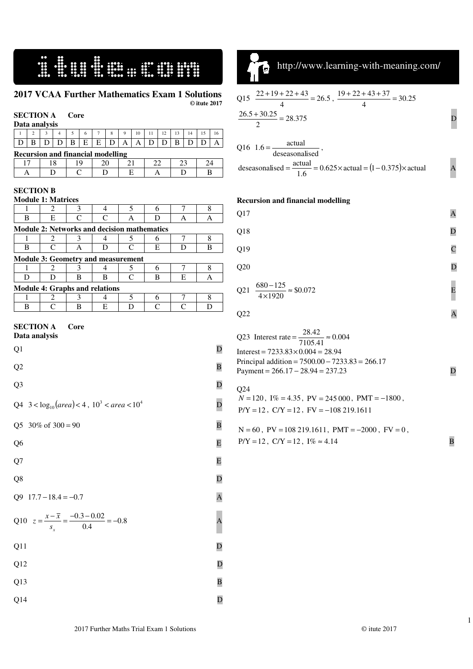# I LILLE A

#### **2017 VCAA Further Mathematics Exam 1 Solutions © itute 2017**

#### **SECTION A Core Data analysis**

| Data analysis                            |  |  |  |  |    |                |  |          |    |    |    |  |  |
|------------------------------------------|--|--|--|--|----|----------------|--|----------|----|----|----|--|--|
|                                          |  |  |  |  |    | $\overline{ }$ |  | $\Omega$ | 10 | 12 | 12 |  |  |
|                                          |  |  |  |  | E. | E.             |  | А        |    |    | в  |  |  |
| <b>Recursion and financial modelling</b> |  |  |  |  |    |                |  |          |    |    |    |  |  |

| <u>Accursion</u> and mancial modelling |  |  |  |  |  |          |  |  |  |
|----------------------------------------|--|--|--|--|--|----------|--|--|--|
|                                        |  |  |  |  |  | <u>_</u> |  |  |  |
|                                        |  |  |  |  |  |          |  |  |  |

#### **SECTION B**   $M_{\odot}$

|                                                                              | <b>Module 1: Matrices</b>                   |      |   |                    |                    |                |   |  |
|------------------------------------------------------------------------------|---------------------------------------------|------|---|--------------------|--------------------|----------------|---|--|
| 1                                                                            | 2                                           | 3    | 4 | 5                  | 6                  | $\sqrt{ }$     | 8 |  |
| B                                                                            | E                                           | C    | C | А                  | D                  | A              | A |  |
|                                                                              | Module 2: Networks and decision mathematics |      |   |                    |                    |                |   |  |
| 1                                                                            | 2                                           | 3    | 4 | 5                  | 6                  | 7              | 8 |  |
| B                                                                            | $\mathsf{C}$                                | Α    | D | $\mathsf{C}$       | Е                  | D              | В |  |
|                                                                              | <b>Module 3: Geometry and measurement</b>   |      |   |                    |                    |                |   |  |
| 1                                                                            | 2                                           | 3    | 4 | 5                  | 6                  | 7              | 8 |  |
| D                                                                            | D                                           | B    | B | $\overline{\rm c}$ | В                  | E              | A |  |
|                                                                              | <b>Module 4: Graphs and relations</b>       |      |   |                    |                    |                |   |  |
| 1                                                                            | 2                                           | 3    | 4 | 5                  | 6                  | 7              | 8 |  |
| B                                                                            | C                                           | B    | E | D                  | $\overline{\rm c}$ | $\overline{C}$ | D |  |
| <b>SECTION A</b><br>Data analysis<br>Q1                                      |                                             | Core |   |                    |                    |                | D |  |
|                                                                              |                                             |      |   |                    |                    |                |   |  |
| Q <sub>2</sub><br>B                                                          |                                             |      |   |                    |                    |                |   |  |
| Q <sub>3</sub><br>D                                                          |                                             |      |   |                    |                    |                |   |  |
| Q4 $3 < log_{10}(area) < 4$ , $103 < area < 104$                             |                                             |      |   |                    |                    |                |   |  |
| 30% of $300 = 90$<br>$\overline{\mathbf{B}}$<br>Q <sub>5</sub>               |                                             |      |   |                    |                    |                |   |  |
| Q <sub>6</sub><br>E                                                          |                                             |      |   |                    |                    |                |   |  |
| Q7                                                                           |                                             |      |   |                    |                    |                | E |  |
| Q8                                                                           |                                             |      |   |                    |                    |                | D |  |
| Q <sub>9</sub>                                                               | $17.7 - 18.4 = -0.7$<br>A                   |      |   |                    |                    |                |   |  |
| Q10 $z = \frac{x - \overline{x}}{s_x} = \frac{-0.3 - 0.02}{0.4} = -0.8$<br>A |                                             |      |   |                    |                    |                |   |  |
| Q11                                                                          |                                             |      |   |                    |                    |                | D |  |
| Q12                                                                          |                                             |      |   |                    |                    |                | D |  |
| Q13<br>$\overline{B}$                                                        |                                             |      |   |                    |                    |                |   |  |
|                                                                              |                                             |      |   |                    |                    |                |   |  |



 $\overline{a}$ 

http://www.learning-with-meaning.com/

$$
Q15 \frac{22+19+22+43}{4} = 26.5, \frac{19+22+43+37}{4} = 30.25
$$
  

$$
\frac{26.5+30.25}{2} = 28.375
$$
 D  
Q16 1.6 = 
$$
\frac{\text{actual}}{\text{descasonalised}},
$$

deseasonalised =  $\frac{\text{actual}}{1.6}$  = 0.625 × actual =  $(1 - 0.375)$  × actual A

#### **Recursion and financial modelling**

| Q17 |                                                      | A |
|-----|------------------------------------------------------|---|
| Q18 |                                                      | D |
| Q19 |                                                      | C |
| Q20 |                                                      | D |
|     | Q21 $\frac{680 - 125}{4 \times 1920} \approx $0.072$ |   |

```
Q22 A
```

| Q23 Interest rate = $\frac{28.42}{7105.41} \approx 0.004$  |  |
|------------------------------------------------------------|--|
| Interest = $7233.83 \times 0.004 = 28.94$                  |  |
| Principal addition = $7500.00 - 7233.83 = 266.17$          |  |
| Payment = $266.17 - 28.94 = 237.23$                        |  |
|                                                            |  |
| O <sub>24</sub>                                            |  |
| $N = 120$ , $I\% = 4.35$ , $PV = 245000$ , $PMT = -1800$ , |  |
| $P/Y = 12$ , $C/Y = 12$ , $FV = -108219.1611$              |  |

 $N = 60$ ,  $PV = 108219.1611$ ,  $PMT = -2000$ ,  $FV = 0$ ,  $P/Y = 12$ ,  $C/Y = 12$ ,  $I\% \approx 4.14$  B

 $Q14$  D

1